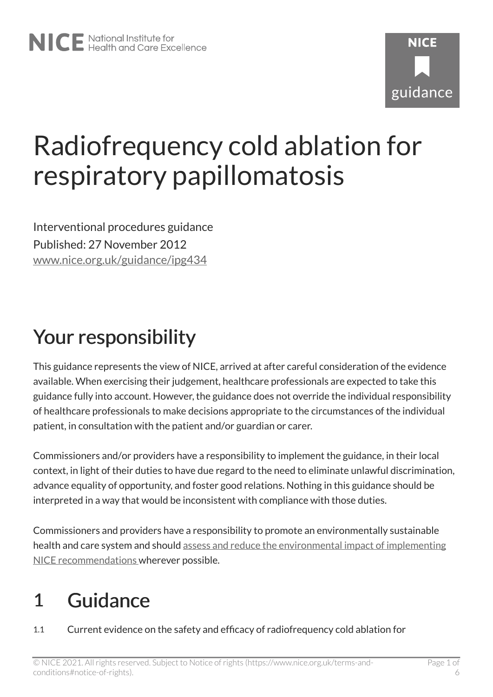# Radiofrequency cold ablation for respiratory papillomatosis

Interventional procedures guidance Published: 27 November 2012 [www.nice.org.uk/guidance/ipg434](https://www.nice.org.uk/guidance/ipg434) 

# Your responsibility

This guidance represents the view of NICE, arrived at after careful consideration of the evidence available. When exercising their judgement, healthcare professionals are expected to take this guidance fully into account. However, the guidance does not override the individual responsibility of healthcare professionals to make decisions appropriate to the circumstances of the individual patient, in consultation with the patient and/or guardian or carer.

Commissioners and/or providers have a responsibility to implement the guidance, in their local context, in light of their duties to have due regard to the need to eliminate unlawful discrimination, advance equality of opportunity, and foster good relations. Nothing in this guidance should be interpreted in a way that would be inconsistent with compliance with those duties.

Commissioners and providers have a responsibility to promote an environmentally sustainable health and care system and should [assess and reduce the environmental impact of implementing](https://www.nice.org.uk/about/who-we-are/sustainability)  [NICE recommendations w](https://www.nice.org.uk/about/who-we-are/sustainability)herever possible.

### 1 Guidance

1.1 Current evidence on the safety and efficacy of radiofrequency cold ablation for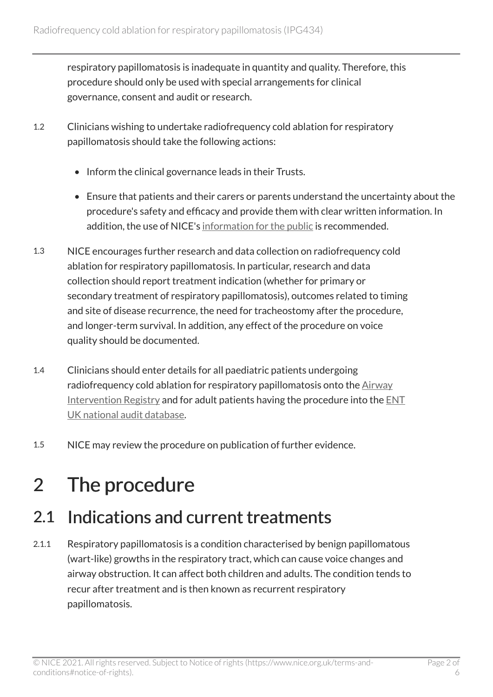respiratory papillomatosis is inadequate in quantity and quality. Therefore, this procedure should only be used with special arrangements for clinical governance, consent and audit or research.

- 1.2 Clinicians wishing to undertake radiofrequency cold ablation for respiratory papillomatosis should take the following actions:
	- Inform the clinical governance leads in their Trusts.
	- Ensure that patients and their carers or parents understand the uncertainty about the procedure's safety and efficacy and provide them with clear written information. In addition, the use of NICE's [information for the public](http://www.nice.org.uk/guidance/ipg434/informationforpublic) is recommended.
- 1.3 NICE encourages further research and data collection on radiofrequency cold ablation for respiratory papillomatosis. In particular, research and data collection should report treatment indication (whether for primary or secondary treatment of respiratory papillomatosis), outcomes related to timing and site of disease recurrence, the need for tracheostomy after the procedure, and longer-term survival. In addition, any effect of the procedure on voice quality should be documented.
- 1.4 Clinicians should enter details for all paediatric patients undergoing radiofrequency cold ablation for respiratory papillomatosis onto the [Airway](https://registers.nuth.nhs.uk/air) [Intervention Registry](https://registers.nuth.nhs.uk/air) and for adult patients having the procedure into the [ENT](http://entuk.org/welcome-ent-uk-laryngeal-surgeon-activity-data) [UK national audit database.](http://entuk.org/welcome-ent-uk-laryngeal-surgeon-activity-data)
- 1.5 NICE may review the procedure on publication of further evidence.

## 2 The procedure

### 2.1 Indications and current treatments

2.1.1 Respiratory papillomatosis is a condition characterised by benign papillomatous (wart-like) growths in the respiratory tract, which can cause voice changes and airway obstruction. It can affect both children and adults. The condition tends to recur after treatment and is then known as recurrent respiratory papillomatosis.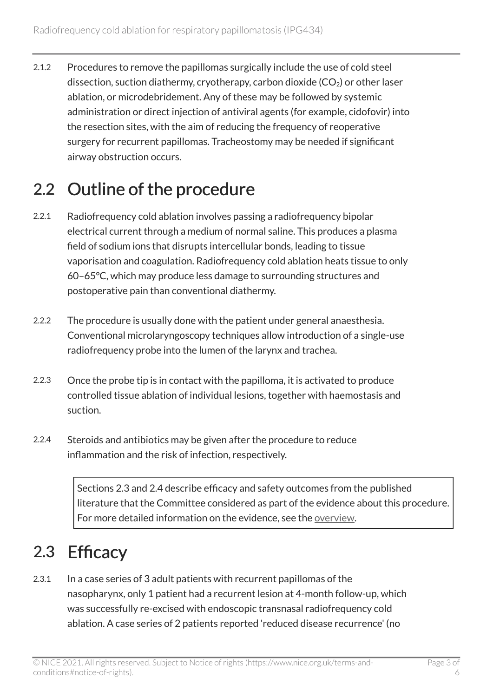2.1.2 Procedures to remove the papillomas surgically include the use of cold steel dissection, suction diathermy, cryotherapy, carbon dioxide  $(CO<sub>2</sub>)$  or other laser ablation, or microdebridement. Any of these may be followed by systemic administration or direct injection of antiviral agents (for example, cidofovir) into the resection sites, with the aim of reducing the frequency of reoperative surgery for recurrent papillomas. Tracheostomy may be needed if significant airway obstruction occurs.

### 2.2 Outline of the procedure

- 2.2.1 Radiofrequency cold ablation involves passing a radiofrequency bipolar electrical current through a medium of normal saline. This produces a plasma field of sodium ions that disrupts intercellular bonds, leading to tissue vaporisation and coagulation. Radiofrequency cold ablation heats tissue to only 60–65°C, which may produce less damage to surrounding structures and postoperative pain than conventional diathermy.
- 2.2.2 The procedure is usually done with the patient under general anaesthesia. Conventional microlaryngoscopy techniques allow introduction of a single-use radiofrequency probe into the lumen of the larynx and trachea.
- 2.2.3 Once the probe tip is in contact with the papilloma, it is activated to produce controlled tissue ablation of individual lesions, together with haemostasis and suction.
- 2.2.4 Steroids and antibiotics may be given after the procedure to reduce inflammation and the risk of infection, respectively.

Sections 2.3 and 2.4 describe efficacy and safety outcomes from the published literature that the Committee considered as part of the evidence about this procedure. For more detailed information on the evidence, see the [overview](http://www.nice.org.uk/guidance/ipg434).

### 2.3 Efficacy

2.3.1 In a case series of 3 adult patients with recurrent papillomas of the nasopharynx, only 1 patient had a recurrent lesion at 4-month follow-up, which was successfully re-excised with endoscopic transnasal radiofrequency cold ablation. A case series of 2 patients reported 'reduced disease recurrence' (no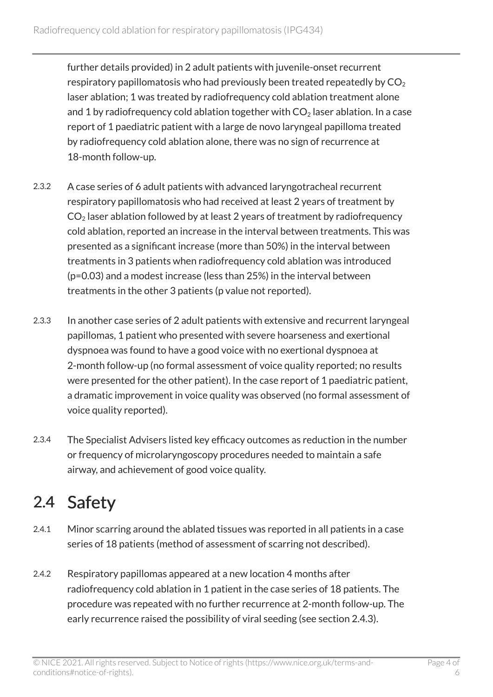further details provided) in 2 adult patients with juvenile-onset recurrent respiratory papillomatosis who had previously been treated repeatedly by  $CO<sub>2</sub>$ laser ablation; 1 was treated by radiofrequency cold ablation treatment alone and 1 by radiofrequency cold ablation together with  $CO<sub>2</sub>$  laser ablation. In a case report of 1 paediatric patient with a large de novo laryngeal papilloma treated by radiofrequency cold ablation alone, there was no sign of recurrence at 18-month follow-up.

- 2.3.2 A case series of 6 adult patients with advanced laryngotracheal recurrent respiratory papillomatosis who had received at least 2 years of treatment by  $CO<sub>2</sub>$  laser ablation followed by at least 2 years of treatment by radiofrequency cold ablation, reported an increase in the interval between treatments. This was presented as a significant increase (more than 50%) in the interval between treatments in 3 patients when radiofrequency cold ablation was introduced (p=0.03) and a modest increase (less than 25%) in the interval between treatments in the other 3 patients (p value not reported).
- 2.3.3 In another case series of 2 adult patients with extensive and recurrent laryngeal papillomas, 1 patient who presented with severe hoarseness and exertional dyspnoea was found to have a good voice with no exertional dyspnoea at 2-month follow-up (no formal assessment of voice quality reported; no results were presented for the other patient). In the case report of 1 paediatric patient, a dramatic improvement in voice quality was observed (no formal assessment of voice quality reported).
- 2.3.4 The Specialist Advisers listed key efficacy outcomes as reduction in the number or frequency of microlaryngoscopy procedures needed to maintain a safe airway, and achievement of good voice quality.

### 2.4 Safety

- 2.4.1 Minor scarring around the ablated tissues was reported in all patients in a case series of 18 patients (method of assessment of scarring not described).
- 2.4.2 Respiratory papillomas appeared at a new location 4 months after radiofrequency cold ablation in 1 patient in the case series of 18 patients. The procedure was repeated with no further recurrence at 2-month follow-up. The early recurrence raised the possibility of viral seeding (see section 2.4.3).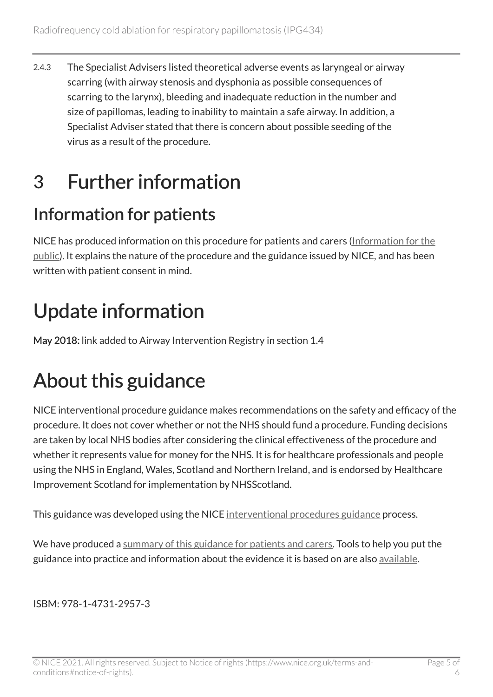2.4.3 The Specialist Advisers listed theoretical adverse events as laryngeal or airway scarring (with airway stenosis and dysphonia as possible consequences of scarring to the larynx), bleeding and inadequate reduction in the number and size of papillomas, leading to inability to maintain a safe airway. In addition, a Specialist Adviser stated that there is concern about possible seeding of the virus as a result of the procedure.

### 3 Further information

### Information for patients

NICE has produced information on this procedure for patients and carers [\(Information for the](http://www.nice.org.uk/guidance/ipg434/informationforpublic)  [public\)](http://www.nice.org.uk/guidance/ipg434/informationforpublic). It explains the nature of the procedure and the guidance issued by NICE, and has been written with patient consent in mind.

# Update information

May 2018: link added to Airway Intervention Registry in section 1.4

# About this guidance

NICE interventional procedure guidance makes recommendations on the safety and efficacy of the procedure. It does not cover whether or not the NHS should fund a procedure. Funding decisions are taken by local NHS bodies after considering the clinical effectiveness of the procedure and whether it represents value for money for the NHS. It is for healthcare professionals and people using the NHS in England, Wales, Scotland and Northern Ireland, and is endorsed by Healthcare Improvement Scotland for implementation by NHSScotland.

This guidance was developed using the NICE [interventional procedures guidance](http://www.nice.org.uk/about/what-we-do/our-programmes/nice-guidance/nice-interventional-procedures-guidance) process.

We have produced a [summary of this guidance for patients and carers.](http://www.nice.org.uk/guidance/ipg434/informationforpublic) Tools to help you put the guidance into practice and information about the evidence it is based on are also [available](http://www.nice.org.uk/guidance/ipg434).

ISBM: 978-1-4731-2957-3